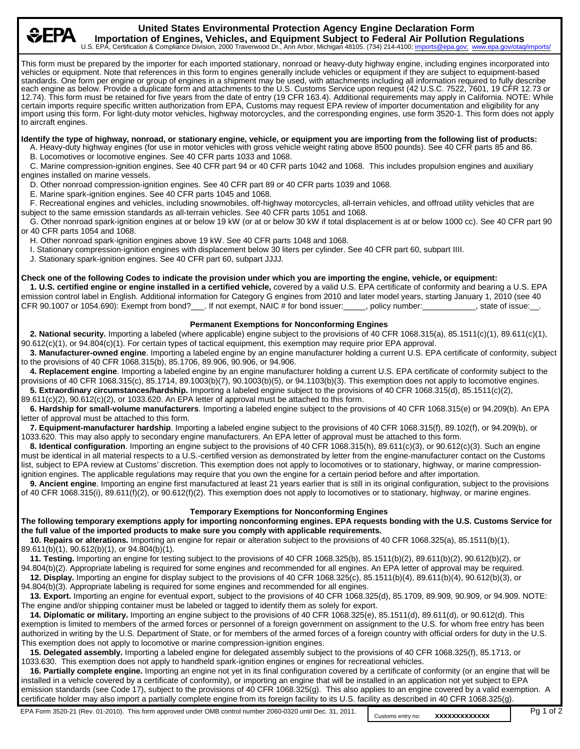**United States Environmental Protection Agency Engine Declaration Form Importation of Engines, Vehicles, and Equipment Subject to Federal Air Pollution Regulations**<br>EPA Certification & Compliance Division 2000 Traverwood Dr. App Arbor Michigan 48105 (734) 214-4100; imports@epa.gov; www.epa.g U.S. EPA, Certification & Compliance Division, 2000 Traverwood Dr., Ann Arbor, Michigan 48105. (734) 214-4100; imports@epa.gov; www. This form must be prepared by the importer for each imported stationary, nonroad or heavy-duty highway engine, including engines incorporated into vehicles or equipment. Note that references in this form to engines generally include vehicles or equipment if they are subject to equipment-based standards. One form per engine or group of engines in a shipment may be used, with attachments including all information required to fully describe each engine as below. Provide a duplicate form and attachments to the U.S. Customs Service upon request (42 U.S.C. 7522, 7601, 19 CFR 12.73 or 12.74). This form must be retained for five years from the date of entry (19 CFR 163.4). Additional requirements may apply in California. NOTE: While certain imports require specific written authorization from EPA, Customs may request EPA review of importer documentation and eligibility for any import using this form. For light-duty motor vehicles, highway motorcycles, and the corresponding engines, use form 3520-1. This form does not apply to aircraft engines. **Identify the type of highway, nonroad, or stationary engine, vehicle, or equipment you are importing from the following list of products:** G A. Heavy-duty highway engines (for use in motor vehicles with gross vehicle weight rating above 8500 pounds). See 40 CFR parts 85 and 86. B. Locomotives or locomotive engines. See 40 CFR parts 1033 and 1068. G C. Marine compression-ignition engines. See 40 CFR part 94 or 40 CFR parts 1042 and 1068. This includes propulsion engines and auxiliary engines installed on marine vessels. D. Other nonroad compression-ignition engines. See 40 CFR part 89 or 40 CFR parts 1039 and 1068. G E. Marine spark-ignition engines. See 40 CFR parts 1045 and 1068. G F. Recreational engines and vehicles, including snowmobiles, off-highway motorcycles, all-terrain vehicles, and offroad utility vehicles that are subject to the same emission standards as all-terrain vehicles. See 40 CFR parts 1051 and 1068. G G. Other nonroad spark-ignition engines at or below 19 kW (or at or below 30 kW if total displacement is at or below 1000 cc). See 40 CFR part 90 or 40 CFR parts 1054 and 1068. H. Other nonroad spark-ignition engines above 19 kW. See 40 CFR parts 1048 and 1068. I. Stationary compression-ignition engines with displacement below 30 liters per cylinder. See 40 CFR part 60, subpart IIII. J. Stationary spark-ignition engines. See 40 CFR part 60, subpart JJJJ. **Check one of the following Codes to indicate the provision under which you are importing the engine, vehicle, or equipment:**  G **1. U.S. certified engine or engine installed in a certified vehicle,** covered by a valid U.S. EPA certificate of conformity and bearing a U.S. EPA emission control label in English. Additional information for Category G engines from 2010 and later model years, starting January 1, 2010 (see 40 CFR 90.1007 or 1054.690): Exempt from bond?\_\_\_. If not exempt, NAIC # for bond issuer:\_\_\_\_\_, policy number:\_\_\_\_\_\_\_\_\_\_, state of issue:\_\_. **Permanent Exemptions for Nonconforming Engines** G **2. National security.** Importing a labeled (where applicable) engine subject to the provisions of 40 CFR 1068.315(a), 85.1511(c)(1), 89.611(c)(1), 90.612(c)(1), or 94.804(c)(1). For certain types of tactical equipment, this exemption may require prior EPA approval. G **3. Manufacturer-owned engine**. Importing a labeled engine by an engine manufacturer holding a current U.S. EPA certificate of conformity, subject to the provisions of 40 CFR 1068.315(b), 85.1706, 89.906, 90.906, or 94.906. G **4. Replacement engine**. Importing a labeled engine by an engine manufacturer holding a current U.S. EPA certificate of conformity subject to the provisions of 40 CFR 1068.315(c), 85.1714, 89.1003(b)(7), 90.1003(b)(5), or 94.1103(b)(3). This exemption does not apply to locomotive engines. G **5. Extraordinary circumstances/hardship.** Importing a labeled engine subject to the provisions of 40 CFR 1068.315(d), 85.1511(c)(2), 89.611(c)(2), 90.612(c)(2), or 1033.620. An EPA letter of approval must be attached to this form. G **6. Hardship for small-volume manufacturers**. Importing a labeled engine subject to the provisions of 40 CFR 1068.315(e) or 94.209(b). An EPA letter of approval must be attached to this form. 7. Equipment-manufacturer hardship. Importing a labeled engine subject to the provisions of 40 CFR 1068.315(f), 89.102(f), or 94.209(b), or 1033.620. This may also apply to secondary engine manufacturers. An EPA letter of approval must be attached to this form. G **8. Identical configuration**. Importing an engine subject to the provisions of 40 CFR 1068.315(h), 89.611(c)(3), or 90.612(c)(3). Such an engine must be identical in all material respects to a U.S.-certified version as demonstrated by letter from the engine-manufacturer contact on the Customs list, subject to EPA review at Customs' discretion. This exemption does not apply to locomotives or to stationary, highway, or marine compressionignition engines. The applicable regulations may require that you own the engine for a certain period before and after importation. G **9. Ancient engine**. Importing an engine first manufactured at least 21 years earlier that is still in its original configuration, subject to the provisions of 40 CFR 1068.315(i), 89.611(f)(2), or 90.612(f)(2). This exemption does not apply to locomotives or to stationary, highway, or marine engines. **Temporary Exemptions for Nonconforming Engines The following temporary exemptions apply for importing nonconforming engines. EPA requests bonding with the U.S. Customs Service for the full value of the imported products to make sure you comply with applicable requirements.** G **10. Repairs or alterations.** Importing an engine for repair or alteration subject to the provisions of 40 CFR 1068.325(a), 85.1511(b)(1), 89.611(b)(1), 90.612(b)(1), or 94.804(b)(1). G **11. Testing.** Importing an engine for testing subject to the provisions of 40 CFR 1068.325(b), 85.1511(b)(2), 89.611(b)(2), 90.612(b)(2), or 94.804(b)(2). Appropriate labeling is required for some engines and recommended for all engines. An EPA letter of approval may be required. G **12. Display.** Importing an engine for display subject to the provisions of 40 CFR 1068.325(c), 85.1511(b)(4), 89.611(b)(4), 90.612(b)(3), or 94.804(b)(3). Appropriate labeling is required for some engines and recommended for all engines. G **13. Export.** Importing an engine for eventual export, subject to the provisions of 40 CFR 1068.325(d), 85.1709, 89.909, 90.909, or 94.909. NOTE: The engine and/or shipping container must be labeled or tagged to identify them as solely for export. G **14. Diplomatic or military.** Importing an engine subject to the provisions of 40 CFR 1068.325(e), 85.1511(d), 89.611(d), or 90.612(d). This exemption is limited to members of the armed forces or personnel of a foreign government on assignment to the U.S. for whom free entry has been authorized in writing by the U.S. Department of State, or for members of the armed forces of a foreign country with official orders for duty in the U.S. This exemption does not apply to locomotive or marine compression-ignition engines. G **15. Delegated assembly.** Importing a labeled engine for delegated assembly subject to the provisions of 40 CFR 1068.325(f), 85.1713, or 1033.630. This exemption does not apply to handheld spark-ignition engines or engines for recreational vehicles. G **16. Partially complete engine.** Importing an engine not yet in its final configuration covered by a certificate of conformity (or an engine that will be installed in a vehicle covered by a certificate of conformity), or importing an engine that will be installed in an application not yet subject to EPA emission standards (see Code 17), subject to the provisions of 40 CFR 1068.325(g). This also applies to an engine covered by a valid exemption. A certificate holder may also import a partially complete engine from its foreign facility to its U.S. facility as described in 40 CFR 1068.325(g).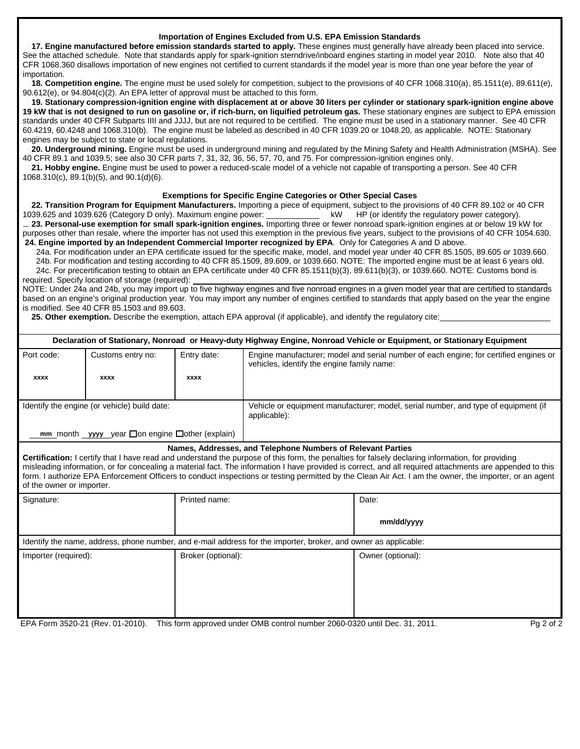#### **Importation of Engines Excluded from U.S. EPA Emission Standards**

17. Engine manufactured before emission standards started to apply. These engines must generally have already been placed into service. See the attached schedule. Note that standards apply for spark-ignition sterndrive/inboard engines starting in model year 2010. Note also that 40 CFR 1068.360 disallows importation of new engines not certified to current standards if the model year is more than one year before the year of importation.

18. Competition engine. The engine must be used solely for competition, subject to the provisions of 40 CFR 1068.310(a), 85.1511(e), 89.611(e), 90.612(e), or 94.804(c)(2). An EPA letter of approval must be attached to this form.

G **19. Stationary compression-ignition engine with displacement at or above 30 liters per cylinder or stationary spark-ignition engine above** 19 kW that is not designed to run on gasoline or, if rich-burn, on liquified petroleum gas. These stationary engines are subject to EPA emission standards under 40 CFR Subparts IIII and JJJJ, but are not required to be certified. The engine must be used in a stationary manner. See 40 CFR 60.4219, 60.4248 and 1068.310(b). The engine must be labeled as described in 40 CFR 1039.20 or 1048.20, as applicable. NOTE: Stationary engines may be subject to state or local regulations.

G **20. Underground mining.** Engine must be used in underground mining and regulated by the Mining Safety and Health Administration (MSHA). See 40 CFR 89.1 and 1039.5; see also 30 CFR parts 7, 31, 32, 36, 56, 57, 70, and 75. For compression-ignition engines only.

G **21. Hobby engine.** Engine must be used to power a reduced-scale model of a vehicle not capable of transporting a person. See 40 CFR 1068.310(c), 89.1(b)(5), and 90.1(d)(6).

#### **Exemptions for Specific Engine Categories or Other Special Cases**

G **22. Transition Program for Equipment Manufacturers.** Importing a piece of equipment, subject to the provisions of 40 CFR 89.102 or 40 CFR 1039.625 and 1039.626 (Category D only). Maximum engine power: \_\_\_\_\_\_\_\_\_\_\_\_\_\_\_\_\_| kW HP (or identify the regulatory power category). G **23. Personal-use exemption for small spark-ignition engines.** Importing three or fewer nonroad spark-ignition engines at or below 19 kW for purposes other than resale, where the importer has not used this exemption in the previous five years, subject to the provisions of 40 CFR 1054.630.  **24. Engine imported by an Independent Commercial Importer recognized by EPA**. Only for Categories A and D above.

G 24a. For modification under an EPA certificate issued for the specific make, model, and model year under 40 CFR 85.1505, 89.605 or 1039.660.

 G 24b. For modification and testing according to 40 CFR 85.1509, 89.609, or 1039.660. NOTE: The imported engine must be at least 6 years old. G 24c. For precertification testing to obtain an EPA certificate under 40 CFR 85.1511(b)(3), 89.611(b)(3), or 1039.660. NOTE: Customs bond is

required. Specify location of storage (required): NOTE: Under 24a and 24b, you may import up to five highway engines and five nonroad engines in a given model year that are certified to standards based on an engine's original production year. You may import any number of engines certified to standards that apply based on the year the engine is modified. See 40 CFR 85.1503 and 89.603.

25. Other exemption. Describe the exemption, attach EPA approval (if applicable), and identify the regulatory cite:

| Declaration of Stationary, Nonroad or Heavy-duty Highway Engine, Nonroad Vehicle or Equipment, or Stationary Equipment                                                                                                                                                                                                                                                                                                                                                                                                                                              |                   |                    |                                                                                                                                     |                   |  |  |
|---------------------------------------------------------------------------------------------------------------------------------------------------------------------------------------------------------------------------------------------------------------------------------------------------------------------------------------------------------------------------------------------------------------------------------------------------------------------------------------------------------------------------------------------------------------------|-------------------|--------------------|-------------------------------------------------------------------------------------------------------------------------------------|-------------------|--|--|
| Port code:                                                                                                                                                                                                                                                                                                                                                                                                                                                                                                                                                          | Customs entry no: | Entry date:        | Engine manufacturer; model and serial number of each engine; for certified engines or<br>vehicles, identify the engine family name: |                   |  |  |
| <b>XXXX</b>                                                                                                                                                                                                                                                                                                                                                                                                                                                                                                                                                         | <b>XXXX</b>       | <b>XXXX</b>        |                                                                                                                                     |                   |  |  |
| Identify the engine (or vehicle) build date:                                                                                                                                                                                                                                                                                                                                                                                                                                                                                                                        |                   |                    | Vehicle or equipment manufacturer; model, serial number, and type of equipment (if<br>applicable):                                  |                   |  |  |
| mm month yyyy year $\square$ on engine $\square$ other (explain)                                                                                                                                                                                                                                                                                                                                                                                                                                                                                                    |                   |                    |                                                                                                                                     |                   |  |  |
| Names, Addresses, and Telephone Numbers of Relevant Parties<br>Certification: I certify that I have read and understand the purpose of this form, the penalties for falsely declaring information, for providing<br>misleading information, or for concealing a material fact. The information I have provided is correct, and all required attachments are appended to this<br>form. I authorize EPA Enforcement Officers to conduct inspections or testing permitted by the Clean Air Act. I am the owner, the importer, or an agent<br>of the owner or importer. |                   |                    |                                                                                                                                     |                   |  |  |
| Signature:                                                                                                                                                                                                                                                                                                                                                                                                                                                                                                                                                          |                   | Printed name:      |                                                                                                                                     | Date:             |  |  |
|                                                                                                                                                                                                                                                                                                                                                                                                                                                                                                                                                                     |                   |                    |                                                                                                                                     | mm/dd/yyyy        |  |  |
| Identify the name, address, phone number, and e-mail address for the importer, broker, and owner as applicable:                                                                                                                                                                                                                                                                                                                                                                                                                                                     |                   |                    |                                                                                                                                     |                   |  |  |
| Importer (required):                                                                                                                                                                                                                                                                                                                                                                                                                                                                                                                                                |                   | Broker (optional): |                                                                                                                                     | Owner (optional): |  |  |

EPA Form 3520-21 (Rev. 01-2010). This form approved under OMB control number 2060-0320 until Dec. 31, 2011. Pg 2 of 2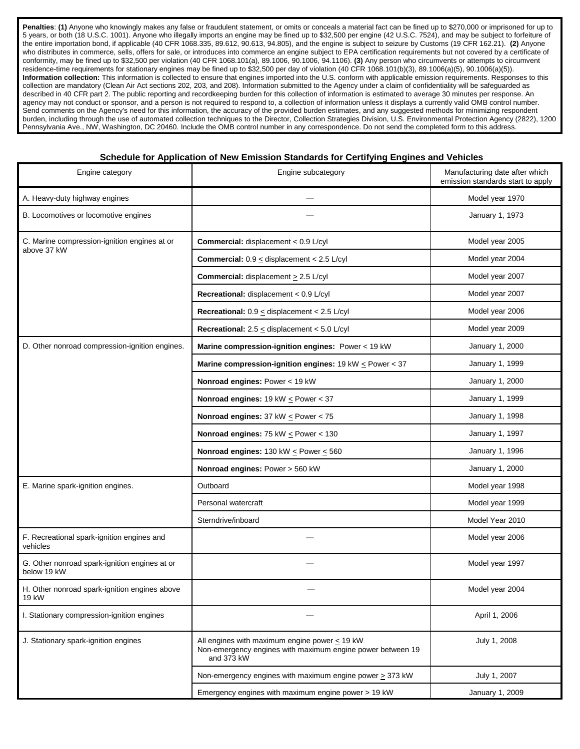Penalties: (1) Anyone who knowingly makes any false or fraudulent statement, or omits or conceals a material fact can be fined up to \$270,000 or imprisoned for up to 5 years, or both (18 U.S.C. 1001). Anyone who illegally imports an engine may be fined up to \$32,500 per engine (42 U.S.C. 7524), and may be subject to forfeiture of the entire importation bond, if applicable (40 CFR 1068.335, 89.612, 90.613, 94.805), and the engine is subject to seizure by Customs (19 CFR 162.21). **(2)** Anyone who distributes in commerce, sells, offers for sale, or introduces into commerce an engine subject to EPA certification requirements but not covered by a certificate of conformity, may be fined up to \$32,500 per violation (40 CFR 1068.101(a), 89.1006, 90.1006, 94.1106). **(3)** Any person who circumvents or attempts to circumvent residence-time requirements for stationary engines may be fined up to \$32,500 per day of violation (40 CFR 1068.101(b)(3), 89.1006(a)(5), 90.1006(a)(5)). **Information collection:** This information is collected to ensure that engines imported into the U.S. conform with applicable emission requirements. Responses to this collection are mandatory (Clean Air Act sections 202, 203, and 208). Information submitted to the Agency under a claim of confidentiality will be safeguarded as described in 40 CFR part 2. The public reporting and recordkeeping burden for this collection of information is estimated to average 30 minutes per response. An agency may not conduct or sponsor, and a person is not required to respond to, a collection of information unless it displays a currently valid OMB control number. Send comments on the Agency's need for this information, the accuracy of the provided burden estimates, and any suggested methods for minimizing respondent burden, including through the use of automated collection techniques to the Director, Collection Strategies Division, U.S. Environmental Protection Agency (2822), 1200 Pennsylvania Ave., NW, Washington, DC 20460. Include the OMB control number in any correspondence. Do not send the completed form to this address.

#### **Schedule for Application of New Emission Standards for Certifying Engines and Vehicles**

| Engine category                                              | Engine subcategory                                                                                                             | Manufacturing date after which<br>emission standards start to apply |
|--------------------------------------------------------------|--------------------------------------------------------------------------------------------------------------------------------|---------------------------------------------------------------------|
| A. Heavy-duty highway engines                                |                                                                                                                                | Model year 1970                                                     |
| B. Locomotives or locomotive engines                         |                                                                                                                                | January 1, 1973                                                     |
| C. Marine compression-ignition engines at or<br>above 37 kW  | Commercial: displacement < 0.9 L/cyl                                                                                           | Model year 2005                                                     |
|                                                              | <b>Commercial:</b> $0.9 <$ displacement $<$ 2.5 L/cyl                                                                          | Model year 2004                                                     |
|                                                              | Commercial: displacement > 2.5 L/cyl                                                                                           | Model year 2007                                                     |
|                                                              | Recreational: displacement < 0.9 L/cyl                                                                                         | Model year 2007                                                     |
|                                                              | Recreational: $0.9 \le$ displacement < 2.5 L/cyl                                                                               | Model year 2006                                                     |
|                                                              | Recreational: $2.5 \le$ displacement < 5.0 L/cyl                                                                               | Model year 2009                                                     |
| D. Other nonroad compression-ignition engines.               | Marine compression-ignition engines: Power < 19 kW                                                                             | January 1, 2000                                                     |
|                                                              | Marine compression-ignition engines: $19$ kW $\leq$ Power $<$ 37                                                               | January 1, 1999                                                     |
|                                                              | Nonroad engines: Power < 19 kW                                                                                                 | January 1, 2000                                                     |
|                                                              | Nonroad engines: $19$ kW $\leq$ Power < 37                                                                                     | January 1, 1999                                                     |
|                                                              | Nonroad engines: $37$ kW $\leq$ Power $< 75$                                                                                   | January 1, 1998                                                     |
|                                                              | Nonroad engines: 75 kW $\leq$ Power < 130                                                                                      | January 1, 1997                                                     |
|                                                              | Nonroad engines: 130 kW $\leq$ Power $\leq$ 560                                                                                | January 1, 1996                                                     |
|                                                              | Nonroad engines: Power > 560 kW                                                                                                | January 1, 2000                                                     |
| E. Marine spark-ignition engines.                            | Outboard                                                                                                                       | Model year 1998                                                     |
|                                                              | Personal watercraft                                                                                                            | Model year 1999                                                     |
|                                                              | Sterndrive/inboard                                                                                                             | Model Year 2010                                                     |
| F. Recreational spark-ignition engines and<br>vehicles       |                                                                                                                                | Model year 2006                                                     |
| G. Other nonroad spark-ignition engines at or<br>below 19 kW |                                                                                                                                | Model year 1997                                                     |
| H. Other nonroad spark-ignition engines above<br>19 kW       |                                                                                                                                | Model year 2004                                                     |
| I. Stationary compression-ignition engines                   |                                                                                                                                | April 1, 2006                                                       |
| J. Stationary spark-ignition engines                         | All engines with maximum engine power $\leq$ 19 kW<br>Non-emergency engines with maximum engine power between 19<br>and 373 kW | July 1, 2008                                                        |
|                                                              | Non-emergency engines with maximum engine power $\geq$ 373 kW                                                                  | July 1, 2007                                                        |
|                                                              | Emergency engines with maximum engine power > 19 kW                                                                            | January 1, 2009                                                     |